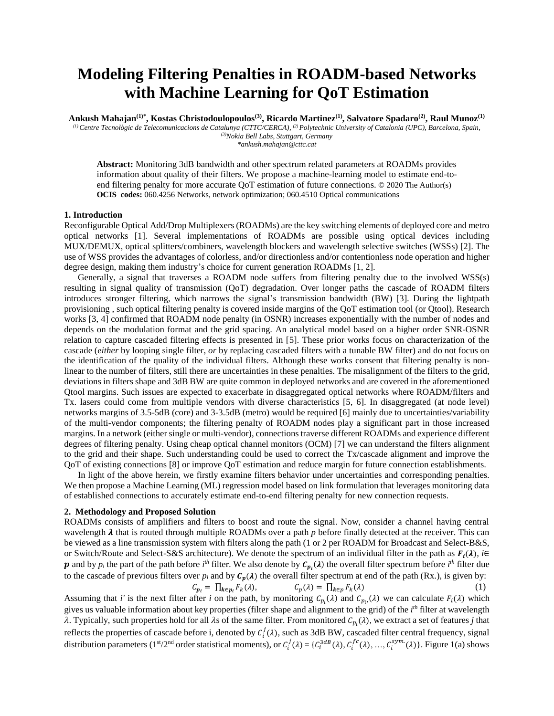# **Modeling Filtering Penalties in ROADM-based Networks with Machine Learning for QoT Estimation**

**Ankush Mahajan(1)\*, Kostas Christodoulopoulos(3), Ricardo Martinez(1), Salvatore Spadaro(2), Raul Munoz(1)**

*(1) Centre Tecnològic de Telecomunicacions de Catalunya (CTTC/CERCA), (2) Polytechnic University of Catalonia (UPC), Barcelona, Spain, (3)Nokia Bell Labs, Stuttgart, Germany*

*\*ankush.mahajan@cttc.cat*

**Abstract:** Monitoring 3dB bandwidth and other spectrum related parameters at ROADMs provides information about quality of their filters. We propose a machine-learning model to estimate end-toend filtering penalty for more accurate QoT estimation of future connections. © 2020 The Author(s) **OCIS codes:** 060.4256 Networks, network optimization; 060.4510 Optical communications

### **1. Introduction**

Reconfigurable Optical Add/Drop Multiplexers (ROADMs) are the key switching elements of deployed core and metro optical networks [1]. Several implementations of ROADMs are possible using optical devices including MUX/DEMUX, optical splitters/combiners, wavelength blockers and wavelength selective switches (WSSs) [2]. The use of WSS provides the advantages of colorless, and/or directionless and/or contentionless node operation and higher degree design, making them industry's choice for current generation ROADMs [1, 2].

 Generally, a signal that traverses a ROADM node suffers from filtering penalty due to the involved WSS(s) resulting in signal quality of transmission (QoT) degradation. Over longer paths the cascade of ROADM filters introduces stronger filtering, which narrows the signal's transmission bandwidth (BW) [3]. During the lightpath provisioning , such optical filtering penalty is covered inside margins of the QoT estimation tool (or Qtool). Research works [3, 4] confirmed that ROADM node penalty (in OSNR) increases exponentially with the number of nodes and depends on the modulation format and the grid spacing. An analytical model based on a higher order SNR-OSNR relation to capture cascaded filtering effects is presented in [5]. These prior works focus on characterization of the cascade (*either* by looping single filter, *or* by replacing cascaded filters with a tunable BW filter) and do not focus on the identification of the quality of the individual filters. Although these works consent that filtering penalty is nonlinear to the number of filters, still there are uncertainties in these penalties. The misalignment of the filters to the grid, deviations in filters shape and 3dB BW are quite common in deployed networks and are covered in the aforementioned Qtool margins. Such issues are expected to exacerbate in disaggregated optical networks where ROADM/filters and Tx. lasers could come from multiple vendors with diverse characteristics [5, 6]. In disaggregated (at node level) networks margins of 3.5-5dB (core) and 3-3.5dB (metro) would be required [6] mainly due to uncertainties/variability of the multi-vendor components; the filtering penalty of ROADM nodes play a significant part in those increased margins. In a network (either single or multi-vendor), connections traverse different ROADMs and experience different degrees of filtering penalty. Using cheap optical channel monitors (OCM) [7] we can understand the filters alignment to the grid and their shape. Such understanding could be used to correct the Tx/cascade alignment and improve the QoT of existing connections [8] or improve QoT estimation and reduce margin for future connection establishments.

 In light of the above herein, we firstly examine filters behavior under uncertainties and corresponding penalties. We then propose a Machine Learning (ML) regression model based on link formulation that leverages monitoring data of established connections to accurately estimate end-to-end filtering penalty for new connection requests.

### **2. Methodology and Proposed Solution**

ROADMs consists of amplifiers and filters to boost and route the signal. Now, consider a channel having central wavelength  $\lambda$  that is routed through multiple ROADMs over a path  $p$  before finally detected at the receiver. This can be viewed as a line transmission system with filters along the path (1 or 2 per ROADM for Broadcast and Select-B&S, or Switch/Route and Select-S&S architecture). We denote the spectrum of an individual filter in the path as  $F_i(\lambda)$ ,  $i \in$  $p$  and by  $p_i$  the part of the path before  $i^{th}$  filter. We also denote by  $C_{p_i}(\lambda)$  the overall filter spectrum before  $i^{th}$  filter due to the cascade of previous filters over  $p_i$  and by  $C_p(\lambda)$  the overall filter spectrum at end of the path (Rx.), is given by:  $C_{p_i} = \prod_{k \in p_i} F_k(\lambda),$   $C_p(\lambda) = \prod_{k \in p} F_k(\lambda)$  (1)

Assuming that *i'* is the next filter after *i* on the path, by monitoring 
$$
C_{p_i}(\lambda)
$$
 and  $C_{p_i}(\lambda)$  we can calculate  $F_i(\lambda)$  which gives us valuable information about key properties (filter shape and alignment to the grid) of the *i<sup>th</sup>* filter at wavelength  $\lambda$ . Typically, such properties hold for all  $\lambda$ s of the same filter. From monitored  $C_{p_i}(\lambda)$ , we extract a set of features *j* that reflects the properties of cascade before i, denoted by  $C_i^j(\lambda)$ , such as 3dB BW, cascaded filter central frequency, signal distribution parameters (1<sup>st</sup>/2<sup>nd</sup> order statistical moments), or  $C_i^j(\lambda) = \{C_i^{3dB}(\lambda), C_i^{f(c)}(\lambda), ..., C_i^{sym}(\lambda)\}$ . Figure 1(a) shows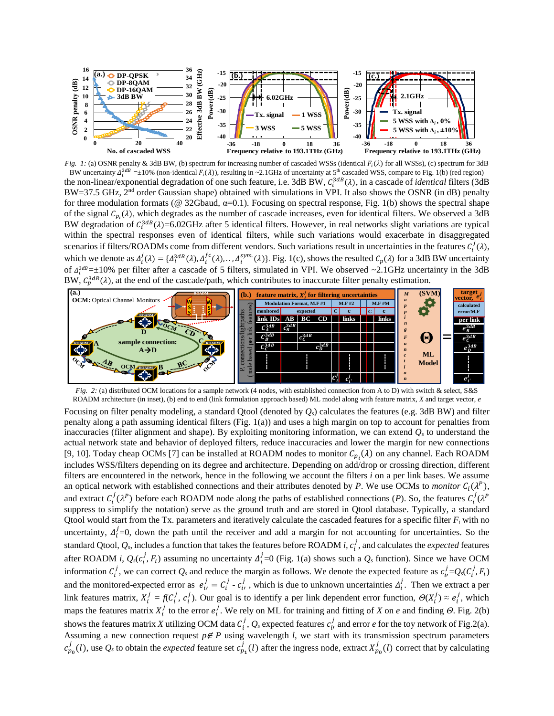

*Fig. 1:* (a) OSNR penalty & 3dB BW, (b) spectrum for increasing number of cascaded WSSs (identical  $F_i(\lambda)$  for all WSSs), (c) spectrum for 3dB BW uncertainty  $\Delta_1^{3dB}$  =±10% (non-identical  $F_i(\lambda)$ ), resulting in ~2.1GHz of uncertainty at 5<sup>th</sup> cascaded WSS, compare to Fig. 1(b) (red region) the non-linear/exponential degradation of one such feature, i.e. 3dB BW,  $C_i^{3dB}(\lambda)$ , in a cascade of *identical* filters (3dB BW=37.5 GHz, 2<sup>nd</sup> order Gaussian shape) obtained with simulations in VPI. It also shows the OSNR (in dB) penalty for three modulation formats (@ 32Gbaud, α=0.1)*.* Focusing on spectral response, Fig. 1(b) shows the spectral shape of the signal  $C_{p_i}(\lambda)$ , which degrades as the number of cascade increases, even for identical filters. We observed a 3dB BW degradation of  $C_i^{3dB}(\lambda)$ =6.02GHz after 5 identical filters. However, in real networks slight variations are typical within the spectral responses even of identical filters, while such variations would exacerbate in disaggregated scenarios if filters/ROADMs come from different vendors. Such variations result in uncertainties in the features  $C_i^j(\lambda)$ , which we denote as  $\Delta_i^j(\lambda) = {\{\Delta_i^{3dB}(\lambda), \Delta_i^{fc}(\lambda), ..., \Delta_i^{sym}(\lambda)\}}$ . Fig. 1(c), shows the resulted  $C_p(\lambda)$  for a 3dB BW uncertainty of  $\Delta_i^{3dB} = \pm 10\%$  per filter after a cascade of 5 filters, simulated in VPI. We observed ~2.1GHz uncertainty in the 3dB BW,  $C_p^{3dB}(\lambda)$ , at the end of the cascade/path, which contributes to inaccurate filter penalty estimation.



*Fig. 2: (a) distributed OCM locations for a sample network (4 nodes, with established connection from A to D) with switch & select, S&S* ROADM architecture (in inset), (b) end to end (link formulation approach based) ML model along with feature matrix, *X* and target vector, *e*

Focusing on filter penalty modeling, a standard Qtool (denoted by *Qs*) calculates the features (e.g. 3dB BW) and filter penalty along a path assuming identical filters (Fig. 1(a)) and uses a high margin on top to account for penalties from inaccuracies (filter alignment and shape). By exploiting monitoring information, we can extend *Q<sup>s</sup>* to understand the actual network state and behavior of deployed filters, reduce inaccuracies and lower the margin for new connections [9, 10]. Today cheap OCMs [7] can be installed at ROADM nodes to monitor  $C_{p_i}(\lambda)$  on any channel. Each ROADM includes WSS/filters depending on its degree and architecture. Depending on add/drop or crossing direction, different filters are encountered in the network, hence in the following we account the filters *i* on a per link bases. We assume an optical network with established connections and their attributes denoted by P. We use OCMs to *monitor*  $C_i(\lambda^p)$ , and extract  $C_i^j(\lambda^p)$  before each ROADM node along the paths of established connections (*P*). So, the features  $C_i^j(\lambda^p)$ suppress to simplify the notation) serve as the ground truth and are stored in Qtool database. Typically, a standard Qtool would start from the Tx. parameters and iteratively calculate the cascaded features for a specific filter  $F_i$  with no uncertainty,  $\Delta_i^j$ =0, down the path until the receiver and add a margin for not accounting for uncertainties. So the standard Qtool,  $Q_s$ , includes a function that takes the features before ROADM *i*,  $c_i^j$ , and calculates the *expected* features after ROADM *i*,  $Q_s(c_i^j, F_i)$  assuming no uncertainty  $\Delta_i^j = 0$  (Fig. 1(a) shows such a  $Q_s$  function). Since we have OCM information  $C_i^j$ , we can correct  $Q_s$  and reduce the margin as follows. We denote the expected feature as  $c_i^j = Q_s(C_i^j, F_i)$ and the monitored-expected error as  $e_i^j = C_i^j \cdot e_i^j$ , which is due to unknown uncertainties  $\Delta_i^j$ . Then we extract a per link features matrix,  $X_i^j = f(C_i^j, c_i^j)$ . Our goal is to identify a per link dependent error function,  $\Theta(X_i^j) \approx e_i^j$ , which maps the features matrix  $X_i^j$  to the error  $e_i^j$ . We rely on ML for training and fitting of *X* on *e* and finding *Θ*. Fig. 2(b) shows the features matrix *X* utilizing OCM data  $C_i^j$ ,  $Q_s$  expected features  $c_i^j$  and error *e* for the toy network of Fig.2(a). Assuming a new connection request  $p \notin P$  using wavelength *l*, we start with its transmission spectrum parameters  $c_{p_0}^j(l)$ , use  $Q_s$  to obtain the *expected* feature set  $c_{p_1}^j(l)$  after the ingress node, extract  $X_{p_0}^j(l)$  correct that by calculating